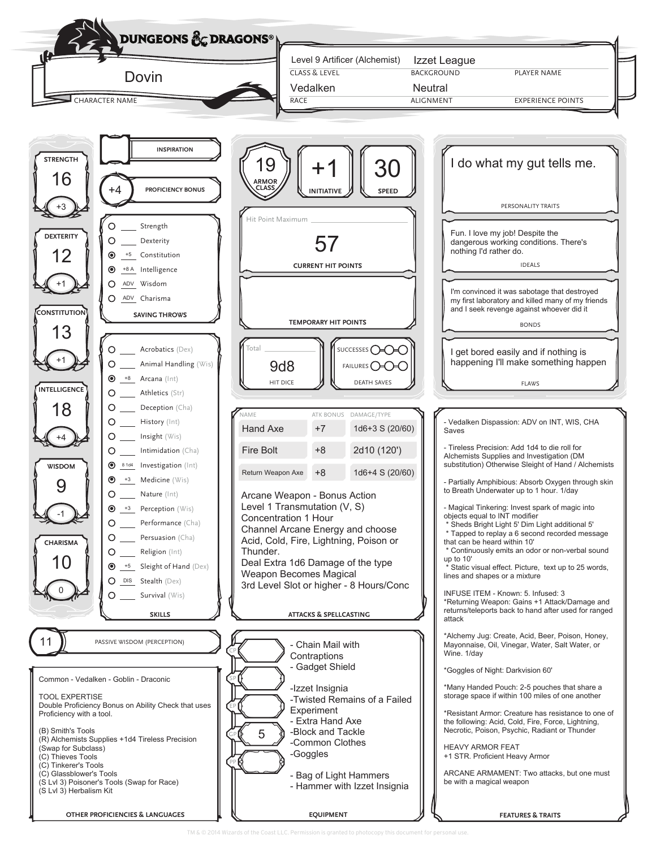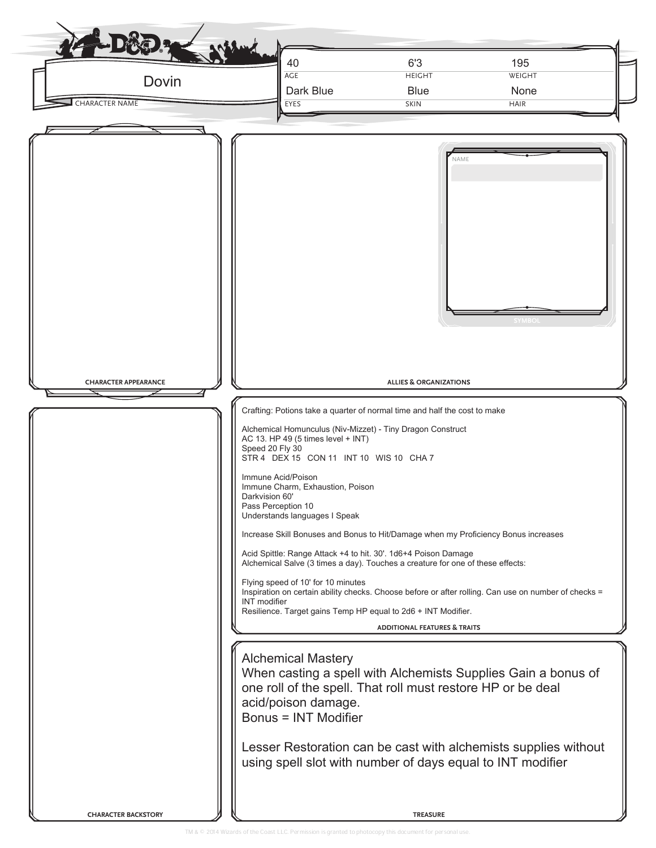| NAME<br><b>SYMBO</b><br><b>ALLIES &amp; ORGANIZATIONS</b><br><b>CHARACTER APPEARANCE</b><br>Crafting: Potions take a quarter of normal time and half the cost to make<br>Alchemical Homunculus (Niv-Mizzet) - Tiny Dragon Construct<br>AC 13. HP 49 (5 times level + INT)<br>Speed 20 Fly 30<br>STR 4 DEX 15 CON 11 INT 10 WIS 10 CHA 7<br>Immune Acid/Poison<br>Immune Charm, Exhaustion, Poison<br>Darkvision 60'<br>Pass Perception 10<br>Understands languages I Speak<br>Increase Skill Bonuses and Bonus to Hit/Damage when my Proficiency Bonus increases<br>Acid Spittle: Range Attack +4 to hit. 30'. 1d6+4 Poison Damage<br>Alchemical Salve (3 times a day). Touches a creature for one of these effects:<br>Flying speed of 10' for 10 minutes<br>Inspiration on certain ability checks. Choose before or after rolling. Can use on number of checks =<br><b>INT</b> modifier<br>Resilience. Target gains Temp HP equal to 2d6 + INT Modifier.<br><b>ADDITIONAL FEATURES &amp; TRAITS</b><br><b>Alchemical Mastery</b><br>When casting a spell with Alchemists Supplies Gain a bonus of<br>one roll of the spell. That roll must restore HP or be deal<br>acid/poison damage.<br><b>Bonus = INT Modifier</b><br>Lesser Restoration can be cast with alchemists supplies without<br>using spell slot with number of days equal to INT modifier | Dovin<br><b>CHARACTER NAME</b> | 40<br><b>AGE</b><br>Dark Blue<br>EYES | 6'3<br><b>HEIGHT</b><br><b>Blue</b><br><b>SKIN</b> | 195<br>WEIGHT<br>None<br><b>HAIR</b> |
|-----------------------------------------------------------------------------------------------------------------------------------------------------------------------------------------------------------------------------------------------------------------------------------------------------------------------------------------------------------------------------------------------------------------------------------------------------------------------------------------------------------------------------------------------------------------------------------------------------------------------------------------------------------------------------------------------------------------------------------------------------------------------------------------------------------------------------------------------------------------------------------------------------------------------------------------------------------------------------------------------------------------------------------------------------------------------------------------------------------------------------------------------------------------------------------------------------------------------------------------------------------------------------------------------------------------------------------------------------------|--------------------------------|---------------------------------------|----------------------------------------------------|--------------------------------------|
|                                                                                                                                                                                                                                                                                                                                                                                                                                                                                                                                                                                                                                                                                                                                                                                                                                                                                                                                                                                                                                                                                                                                                                                                                                                                                                                                                           |                                |                                       |                                                    |                                      |
|                                                                                                                                                                                                                                                                                                                                                                                                                                                                                                                                                                                                                                                                                                                                                                                                                                                                                                                                                                                                                                                                                                                                                                                                                                                                                                                                                           |                                |                                       |                                                    |                                      |